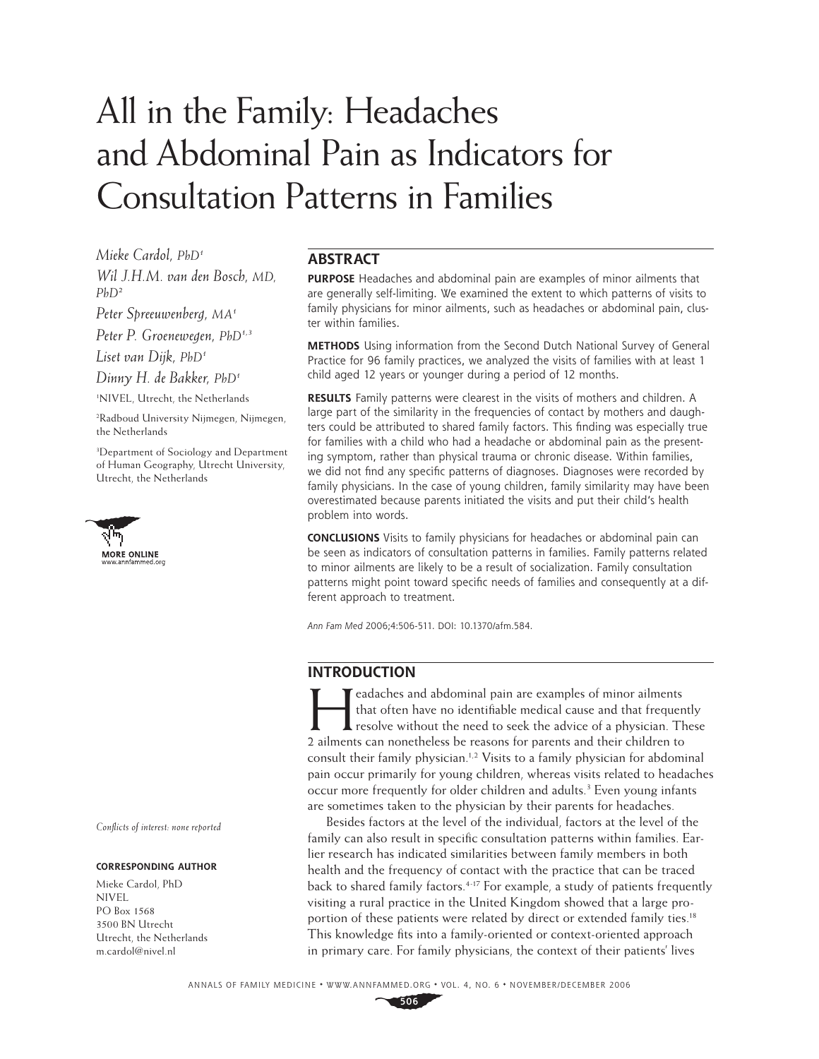# All in the Family: Headaches and Abdominal Pain as Indicators for Consultation Patterns in Families

*Mieke Cardol, PhD1 Wil J.H.M. van den Bosch, MD,* 

*PhD2*

*Peter Spreeuwenberg, MA1*

*Peter P. Groenewegen, PhD1,3*

*Liset van Dijk, PhD1*

*Dinny H. de Bakker, PhD1*

1 NIVEL, Utrecht, the Netherlands

2 Radboud University Nijmegen, Nijmegen, the Netherlands

3 Department of Sociology and Department of Human Geography, Utrecht University, Utrecht, the Netherlands



*Confl icts of interest: none reported*

### **CORRESPONDING AUTHOR**

Mieke Cardol, PhD NIVEL PO Box 1568 3500 BN Utrecht Utrecht, the Netherlands m.cardol@nivel.nl

# **ABSTRACT**

**PURPOSE** Headaches and abdominal pain are examples of minor ailments that are generally self-limiting. We examined the extent to which patterns of visits to family physicians for minor ailments, such as headaches or abdominal pain, cluster within families.

**METHODS** Using information from the Second Dutch National Survey of General Practice for 96 family practices, we analyzed the visits of families with at least 1 child aged 12 years or younger during a period of 12 months.

**RESULTS** Family patterns were clearest in the visits of mothers and children. A large part of the similarity in the frequencies of contact by mothers and daughters could be attributed to shared family factors. This finding was especially true for families with a child who had a headache or abdominal pain as the presenting symptom, rather than physical trauma or chronic disease. Within families, we did not find any specific patterns of diagnoses. Diagnoses were recorded by family physicians. In the case of young children, family similarity may have been overestimated because parents initiated the visits and put their child's health problem into words.

**CONCLUSIONS** Visits to family physicians for headaches or abdominal pain can be seen as indicators of consultation patterns in families. Family patterns related to minor ailments are likely to be a result of socialization. Family consultation patterns might point toward specific needs of families and consequently at a different approach to treatment.

Ann Fam Med 2006;4:506-511. DOI: 10.1370/afm.584.

# **INTRODUCTION**

Examples and abdominal pain are examples of minor ailments<br>that often have no identifiable medical cause and that frequency<br>resolve without the need to seek the advice of a physician. The<br>alments are negatibles be reserved that often have no identifiable medical cause and that frequently resolve without the need to seek the advice of a physician. These 2 ailments can nonetheless be reasons for parents and their children to consult their family physician.<sup>1,2</sup> Visits to a family physician for abdominal pain occur primarily for young children, whereas visits related to headaches occur more frequently for older children and adults.<sup>3</sup> Even young infants are sometimes taken to the physician by their parents for headaches.

Besides factors at the level of the individual, factors at the level of the family can also result in specific consultation patterns within families. Earlier research has indicated similarities between family members in both health and the frequency of contact with the practice that can be traced back to shared family factors.4-17 For example, a study of patients frequently visiting a rural practice in the United Kingdom showed that a large proportion of these patients were related by direct or extended family ties.<sup>18</sup> This knowledge fits into a family-oriented or context-oriented approach in primary care. For family physicians, the context of their patients' lives

**506**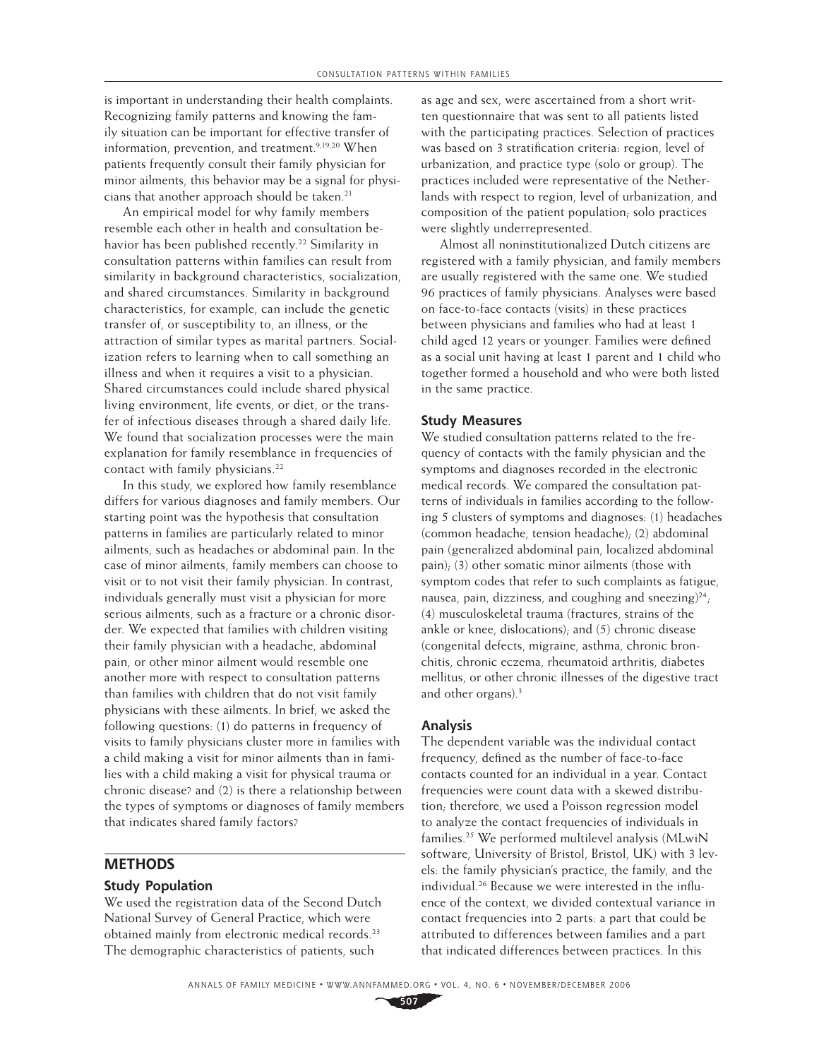is important in understanding their health complaints. Recognizing family patterns and knowing the family situation can be important for effective transfer of information, prevention, and treatment.<sup>9,19,20</sup> When patients frequently consult their family physician for minor ailments, this behavior may be a signal for physicians that another approach should be taken.<sup>21</sup>

An empirical model for why family members resemble each other in health and consultation behavior has been published recently.<sup>22</sup> Similarity in consultation patterns within families can result from similarity in background characteristics, socialization, and shared circumstances. Similarity in background characteristics, for example, can include the genetic transfer of, or susceptibility to, an illness, or the attraction of similar types as marital partners. Socialization refers to learning when to call something an illness and when it requires a visit to a physician. Shared circumstances could include shared physical living environment, life events, or diet, or the transfer of infectious diseases through a shared daily life. We found that socialization processes were the main explanation for family resemblance in frequencies of contact with family physicians.<sup>22</sup>

In this study, we explored how family resemblance differs for various diagnoses and family members. Our starting point was the hypothesis that consultation patterns in families are particularly related to minor ailments, such as headaches or abdominal pain. In the case of minor ailments, family members can choose to visit or to not visit their family physician. In contrast, individuals generally must visit a physician for more serious ailments, such as a fracture or a chronic disorder. We expected that families with children visiting their family physician with a headache, abdominal pain, or other minor ailment would resemble one another more with respect to consultation patterns than families with children that do not visit family physicians with these ailments. In brief, we asked the following questions: (1) do patterns in frequency of visits to family physicians cluster more in families with a child making a visit for minor ailments than in families with a child making a visit for physical trauma or chronic disease? and (2) is there a relationship between the types of symptoms or diagnoses of family members that indicates shared family factors?

## **METHODS**

### **Study Population**

We used the registration data of the Second Dutch National Survey of General Practice, which were obtained mainly from electronic medical records.<sup>23</sup> The demographic characteristics of patients, such

as age and sex, were ascertained from a short written questionnaire that was sent to all patients listed with the participating practices. Selection of practices was based on 3 stratification criteria: region, level of urbanization, and practice type (solo or group). The practices included were representative of the Netherlands with respect to region, level of urbanization, and composition of the patient population; solo practices were slightly underrepresented.

Almost all noninstitutionalized Dutch citizens are registered with a family physician, and family members are usually registered with the same one. We studied 96 practices of family physicians. Analyses were based on face-to-face contacts (visits) in these practices between physicians and families who had at least 1 child aged 12 years or younger. Families were defined as a social unit having at least 1 parent and 1 child who together formed a household and who were both listed in the same practice.

## **Study Measures**

We studied consultation patterns related to the frequency of contacts with the family physician and the symptoms and diagnoses recorded in the electronic medical records. We compared the consultation patterns of individuals in families according to the following 5 clusters of symptoms and diagnoses: (1) head aches (common headache, tension headache); (2) abdominal pain (generalized abdominal pain, localized abdominal pain); (3) other somatic minor ailments (those with symptom codes that refer to such complaints as fatigue, nausea, pain, dizziness, and coughing and sneezing) $24$ ; (4) musculoskeletal trauma (fractures, strains of the ankle or knee, dislocations); and (5) chronic disease (congenital defects, migraine, asthma, chronic bronchitis, chronic eczema, rheumatoid arthritis, diabetes mellitus, or other chronic illnesses of the digestive tract and other organs).<sup>3</sup>

## **Analysis**

The dependent variable was the individual contact frequency, defined as the number of face-to-face contacts counted for an individual in a year. Contact frequencies were count data with a skewed distribution; therefore, we used a Poisson regression model to analyze the contact frequencies of individuals in families.25 We performed multilevel analysis (MLwiN software, University of Bristol, Bristol, UK) with 3 levels: the family physician's practice, the family, and the individual.<sup>26</sup> Because we were interested in the influence of the context, we divided contextual variance in contact frequencies into 2 parts: a part that could be attributed to differences between families and a part that indicated differences between practices. In this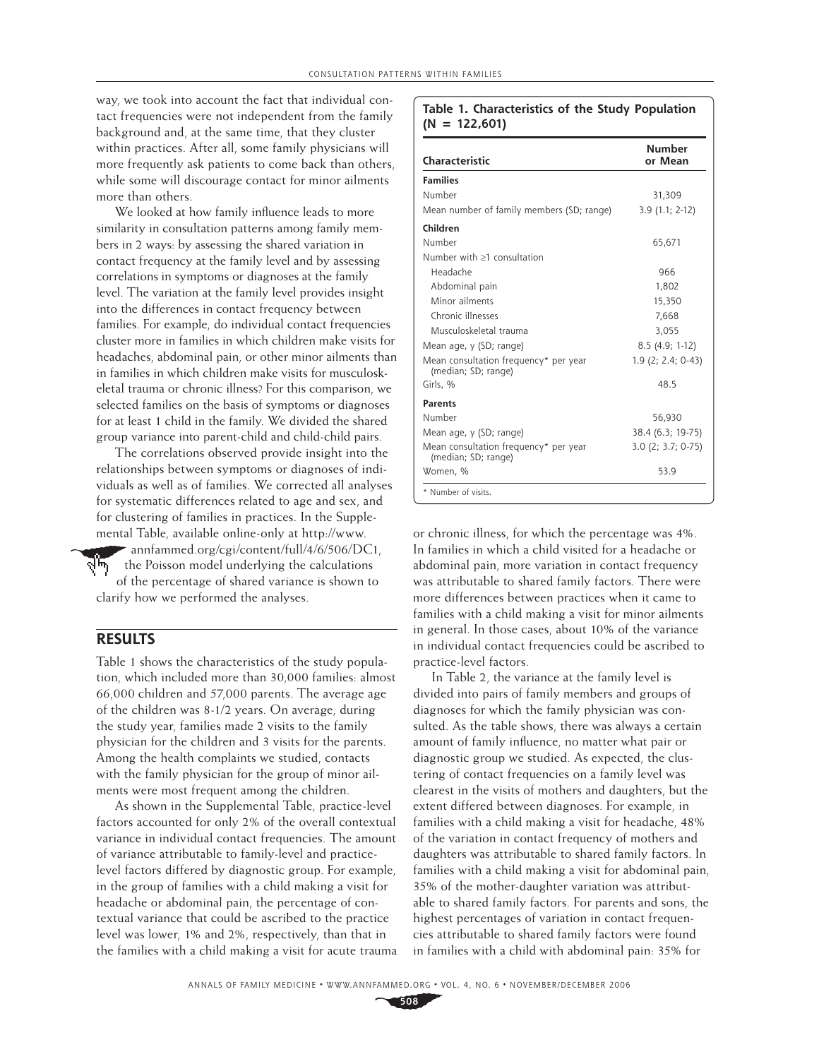way, we took into account the fact that individual contact frequencies were not independent from the family background and, at the same time, that they cluster within practices. After all, some family physicians will more frequently ask patients to come back than others, while some will discourage contact for minor ailments more than others.

We looked at how family influence leads to more similarity in consultation patterns among family members in 2 ways: by assessing the shared variation in contact frequency at the family level and by assessing correlations in symptoms or diagnoses at the family level. The variation at the family level provides insight into the differences in contact frequency between families. For example, do individual contact frequencies cluster more in families in which children make visits for headaches, abdominal pain, or other minor ailments than in families in which children make visits for musculoskeletal trauma or chronic illness? For this comparison, we selected families on the basis of symptoms or diagnoses for at least 1 child in the family. We divided the shared group variance into parent-child and child-child pairs.

The correlations observed provide insight into the relationships between symptoms or diagnoses of individuals as well as of families. We corrected all analyses for systematic differences related to age and sex, and for clustering of families in practices. In the Supple mental Table, available online-only at http://www. annfammed.org/cgi/content/full/4/6/506/DC1, ر™γ the Poisson model underlying the calculations

of the percentage of shared variance is shown to clarify how we performed the analyses.

# **RESULTS**

Table 1 shows the characteristics of the study population, which included more than 30,000 families: almost 66,000 children and 57,000 parents. The average age of the children was 8-1/2 years. On average, during the study year, families made 2 visits to the family physician for the children and 3 visits for the parents. Among the health complaints we studied, contacts with the family physician for the group of minor ailments were most frequent among the children.

As shown in the Supplemental Table, practice-level factors accounted for only 2% of the overall contextual variance in individual contact frequencies. The amount of variance attributable to family-level and practicelevel factors differed by diagnostic group. For example, in the group of families with a child making a visit for headache or abdominal pain, the percentage of contextual variance that could be ascribed to the practice level was lower, 1% and 2%, respectively, than that in the families with a child making a visit for acute trauma

### **Table 1. Characteristics of the Study Population (N = 122,601)**

| Characteristic                                               | <b>Number</b><br>or Mean |
|--------------------------------------------------------------|--------------------------|
| <b>Families</b>                                              |                          |
| Number                                                       | 31,309                   |
| Mean number of family members (SD; range)                    | $3.9(1.1; 2-12)$         |
| Children                                                     |                          |
| Number                                                       | 65.671                   |
| Number with >1 consultation                                  |                          |
| Headache                                                     | 966                      |
| Abdominal pain                                               | 1,802                    |
| Minor ailments                                               | 15,350                   |
| Chronic illnesses                                            | 7,668                    |
| Musculoskeletal trauma                                       | 3,055                    |
| Mean age, y (SD; range)                                      | 8.5 (4.9; 1-12)          |
| Mean consultation frequency* per year<br>(median; SD; range) | 1.9 (2; 2.4; 0-43)       |
| Girls, %                                                     | 48.5                     |
| <b>Parents</b>                                               |                          |
| Number                                                       | 56,930                   |
| Mean age, y (SD; range)                                      | 38.4 (6.3; 19-75)        |
| Mean consultation frequency* per year<br>(median; SD; range) | $3.0$ (2; $3.7; 0-75$ )  |
| Women, %                                                     | 53.9                     |

or chronic illness, for which the percentage was 4%. In families in which a child visited for a headache or abdominal pain, more variation in contact frequency was attributable to shared family factors. There were more differences between practices when it came to families with a child making a visit for minor ailments in general. In those cases, about 10% of the variance in individual contact frequencies could be ascribed to practice-level factors.

In Table 2, the variance at the family level is divided into pairs of family members and groups of diagnoses for which the family physician was consulted. As the table shows, there was always a certain amount of family influence, no matter what pair or diagnostic group we studied. As expected, the clustering of contact frequencies on a family level was clearest in the visits of mothers and daughters, but the extent differed between diagnoses. For example, in families with a child making a visit for headache, 48% of the variation in contact frequency of mothers and daughters was attributable to shared family factors. In families with a child making a visit for abdominal pain, 35% of the mother-daughter variation was attributable to shared family factors. For parents and sons, the highest percentages of variation in contact frequencies attributable to shared family factors were found in families with a child with abdominal pain: 35% for

**508**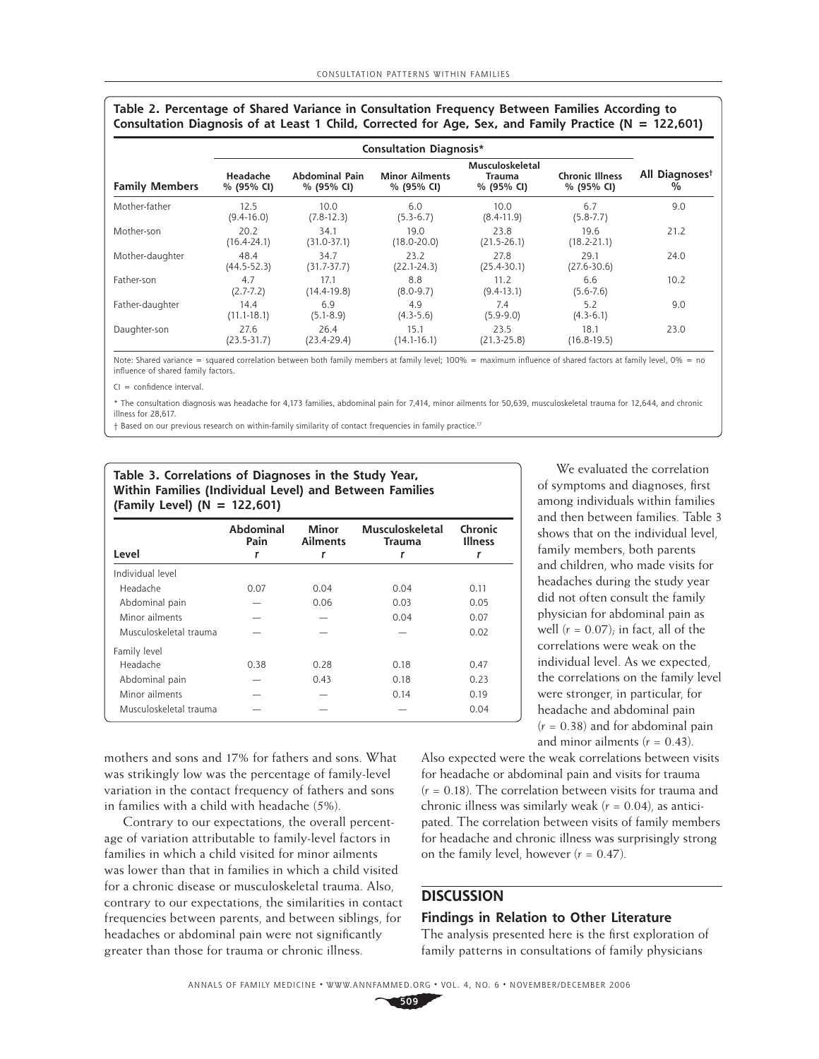| Table 2. Percentage of Shared Variance in Consultation Frequency Between Families According to            |  |
|-----------------------------------------------------------------------------------------------------------|--|
| Consultation Diagnosis of at Least 1 Child, Corrected for Age, Sex, and Family Practice ( $N = 122,601$ ) |  |

|                       | <b>Consultation Diagnosis*</b> |                              |                                     |                                                |                                      |                                    |
|-----------------------|--------------------------------|------------------------------|-------------------------------------|------------------------------------------------|--------------------------------------|------------------------------------|
| <b>Family Members</b> | Headache<br>% (95% CI)         | Abdominal Pain<br>% (95% CI) | <b>Minor Ailments</b><br>% (95% CI) | Musculoskeletal<br><b>Trauma</b><br>% (95% CI) | <b>Chronic Illness</b><br>% (95% CI) | All Diagnoses <sup>t</sup><br>$\%$ |
| Mother-father         | 12.5<br>$(9.4-16.0)$           | 10.0<br>$(7.8-12.3)$         | 6.0<br>$(5.3-6.7)$                  | 10.0<br>$(8.4-11.9)$                           | 6.7<br>$(5.8 - 7.7)$                 | 9.0                                |
| Mother-son            | 20.2<br>$(16.4 - 24.1)$        | 34.1<br>$(31.0 - 37.1)$      | 19.0<br>$(18.0 - 20.0)$             | 23.8<br>$(21.5 - 26.1)$                        | 19.6<br>$(18.2 - 21.1)$              | 21.2                               |
| Mother-daughter       | 48.4<br>$(44.5 - 52.3)$        | 34.7<br>$(31.7 - 37.7)$      | 23.2<br>$(22.1 - 24.3)$             | 27.8<br>$(25.4 - 30.1)$                        | 29.1<br>$(27.6 - 30.6)$              | 24.0                               |
| Father-son            | 4.7<br>$(2.7 - 7.2)$           | 17.1<br>$(14.4 - 19.8)$      | 8.8<br>$(8.0 - 9.7)$                | 11.2<br>$(9.4-13.1)$                           | 6.6<br>$(5.6 - 7.6)$                 | 10.2                               |
| Father-daughter       | 14.4<br>$(11.1 - 18.1)$        | 6.9<br>$(5.1 - 8.9)$         | 4.9<br>$(4.3-5.6)$                  | 7.4<br>$(5.9-9.0)$                             | 5.2<br>$(4.3-6.1)$                   | 9.0                                |
| Daughter-son          | 27.6<br>$(23.5 - 31.7)$        | 26.4<br>$(23.4 - 29.4)$      | 15.1<br>$(14.1 - 16.1)$             | 23.5<br>$(21.3 - 25.8)$                        | 18.1<br>$(16.8 - 19.5)$              | 23.0                               |

Note: Shared variance = squared correlation between both family members at family level; 100% = maximum influence of shared factors at family level, 0% = no influence of shared family factors.

 $Cl = \text{confidence interval}$ 

\* The consultation diagnosis was headache for 4,173 families, abdominal pain for 7,414, minor ailments for 50,639, musculoskeletal trauma for 12,644, and chronic illness for 28,617.

† Based on our previous research on within-family similarity of contact frequencies in family practice.17

| Table 3. Correlations of Diagnoses in the Study Year,   |
|---------------------------------------------------------|
| Within Families (Individual Level) and Between Families |
| (Family Level) ( $N = 122,601$ )                        |

| Level                  | Abdominal<br>Pain | <b>Minor</b><br><b>Ailments</b> | <b>Musculoskeletal</b><br><b>Trauma</b> | Chronic<br><b>Illness</b> |
|------------------------|-------------------|---------------------------------|-----------------------------------------|---------------------------|
| Individual level       |                   |                                 |                                         |                           |
| Headache               | 0.07              | 0.04                            | 0.04                                    | 0.11                      |
| Abdominal pain         |                   | 0.06                            | 0.03                                    | 0.05                      |
| Minor ailments         |                   |                                 | 0.04                                    | 0.07                      |
| Musculoskeletal trauma |                   |                                 |                                         | 0.02                      |
| Family level           |                   |                                 |                                         |                           |
| Headache               | 0.38              | 0.28                            | 0.18                                    | 0.47                      |
| Abdominal pain         |                   | 0.43                            | 0.18                                    | 0.23                      |
| Minor ailments         |                   |                                 | 0.14                                    | 0.19                      |
| Musculoskeletal trauma |                   |                                 |                                         | 0.04                      |

 mothers and sons and 17% for fathers and sons. What was strikingly low was the percentage of family-level variation in the contact frequency of fathers and sons in families with a child with headache (5%).

Contrary to our expectations, the overall percentage of variation attributable to family-level factors in families in which a child visited for minor ailments was lower than that in families in which a child visited for a chronic disease or musculoskeletal trauma. Also, contrary to our expectations, the similarities in contact frequencies between parents, and between siblings, for headaches or abdominal pain were not significantly greater than those for trauma or chronic illness.

We evaluated the correlation of symptoms and diagnoses, first among individuals within families and then between families. Table 3 shows that on the individual level, family members, both parents and children, who made visits for headaches during the study year did not often consult the family physician for abdominal pain as well  $(r = 0.07)$ ; in fact, all of the correlations were weak on the individual level. As we expected, the correlations on the family level were stronger, in particular, for headache and abdominal pain  $(r = 0.38)$  and for abdominal pain and minor ailments  $(r = 0.43)$ .

Also expected were the weak correlations between visits for headache or abdominal pain and visits for trauma (*r* = 0.18). The correlation between visits for trauma and chronic illness was similarly weak (*r* = 0.04), as anticipated. The correlation between visits of family members for headache and chronic illness was surprisingly strong on the family level, however  $(r = 0.47)$ .

## **DISCUSSION**

## **Findings in Relation to Other Literature**

The analysis presented here is the first exploration of family patterns in consultations of family physicians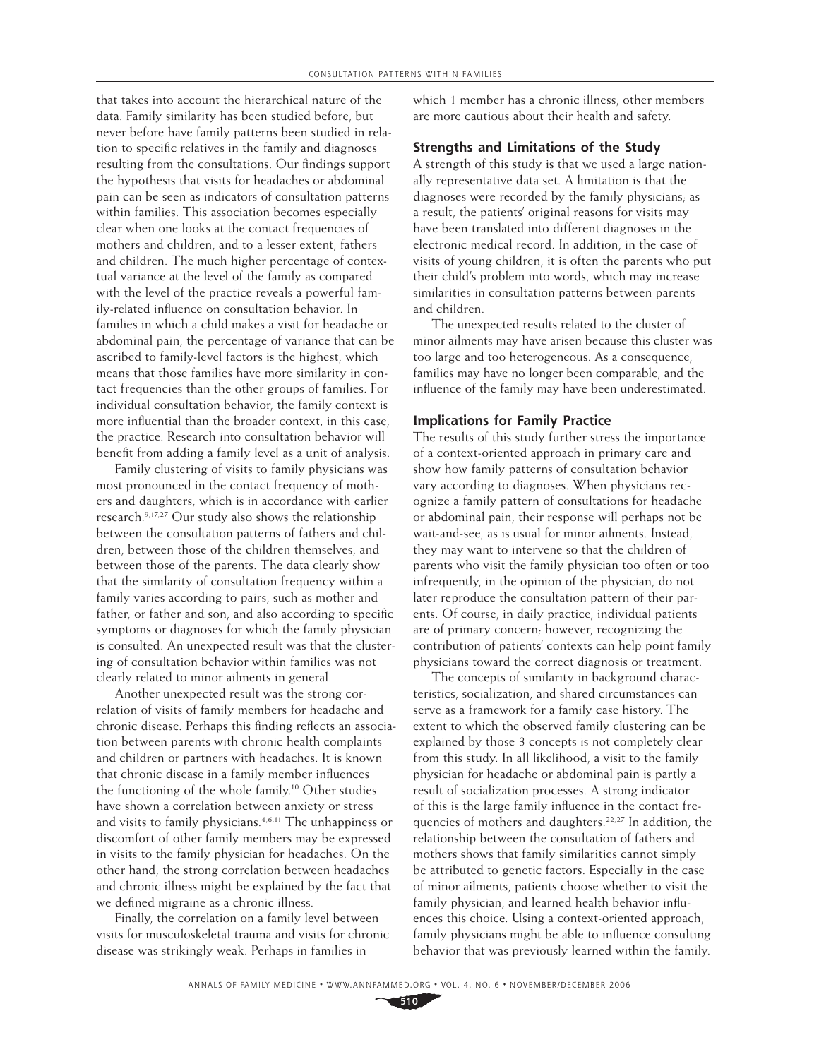that takes into account the hierarchical nature of the data. Family similarity has been studied before, but never before have family patterns been studied in relation to specific relatives in the family and diagnoses resulting from the consultations. Our findings support the hypothesis that visits for headaches or abdominal pain can be seen as indicators of consultation patterns within families. This association becomes especially clear when one looks at the contact frequencies of mothers and children, and to a lesser extent, fathers and children. The much higher percentage of contextual variance at the level of the family as compared with the level of the practice reveals a powerful family-related influence on consultation behavior. In families in which a child makes a visit for headache or abdominal pain, the percentage of variance that can be ascribed to family-level factors is the highest, which means that those families have more similarity in contact frequencies than the other groups of families. For individual consultation behavior, the family context is more influential than the broader context, in this case, the practice. Research into consultation behavior will benefit from adding a family level as a unit of analysis.

Family clustering of visits to family physicians was most pronounced in the contact frequency of mothers and daughters, which is in accordance with earlier research.9,17,27 Our study also shows the relationship between the consultation patterns of fathers and children, between those of the children themselves, and between those of the parents. The data clearly show that the similarity of consultation frequency within a family varies according to pairs, such as mother and father, or father and son, and also according to specific symptoms or diagnoses for which the family physician is consulted. An unexpected result was that the clustering of consultation behavior within families was not clearly related to minor ailments in general.

Another unexpected result was the strong correlation of visits of family members for headache and chronic disease. Perhaps this finding reflects an association between parents with chronic health complaints and children or partners with headaches. It is known that chronic disease in a family member influences the functioning of the whole family.10 Other studies have shown a correlation between anxiety or stress and visits to family physicians.<sup>4,6,11</sup> The unhappiness or discomfort of other family members may be expressed in visits to the family physician for headaches. On the other hand, the strong correlation between headaches and chronic illness might be explained by the fact that we defined migraine as a chronic illness.

Finally, the correlation on a family level between visits for musculoskeletal trauma and visits for chronic disease was strikingly weak. Perhaps in families in

which 1 member has a chronic illness, other members are more cautious about their health and safety.

## **Strengths and Limitations of the Study**

A strength of this study is that we used a large nationally representative data set. A limitation is that the diagnoses were recorded by the family physicians; as a result, the patients' original reasons for visits may have been translated into different diagnoses in the electronic medical record. In addition, in the case of visits of young children, it is often the parents who put their child's problem into words, which may increase similarities in consultation patterns between parents and children.

The unexpected results related to the cluster of minor ailments may have arisen because this cluster was too large and too heterogeneous. As a consequence, families may have no longer been comparable, and the influence of the family may have been underestimated.

## **Implications for Family Practice**

The results of this study further stress the importance of a context-oriented approach in primary care and show how family patterns of consultation behavior vary according to diagnoses. When physicians recognize a family pattern of consultations for headache or abdominal pain, their response will perhaps not be wait-and-see, as is usual for minor ailments. Instead, they may want to intervene so that the children of parents who visit the family physician too often or too infrequently, in the opinion of the physician, do not later reproduce the consultation pattern of their parents. Of course, in daily practice, individual patients are of primary concern; however, recognizing the contribution of patients' contexts can help point family physicians toward the correct diagnosis or treatment.

The concepts of similarity in background characteristics, socialization, and shared circumstances can serve as a framework for a family case history. The extent to which the observed family clustering can be explained by those 3 concepts is not completely clear from this study. In all likelihood, a visit to the family physician for headache or abdominal pain is partly a result of socialization processes. A strong indicator of this is the large family influence in the contact frequencies of mothers and daughters.22,27 In addition, the relationship between the consultation of fathers and mothers shows that family similarities cannot simply be attributed to genetic factors. Especially in the case of minor ailments, patients choose whether to visit the family physician, and learned health behavior influences this choice. Using a context-oriented approach, family physicians might be able to influence consulting behavior that was previously learned within the family.